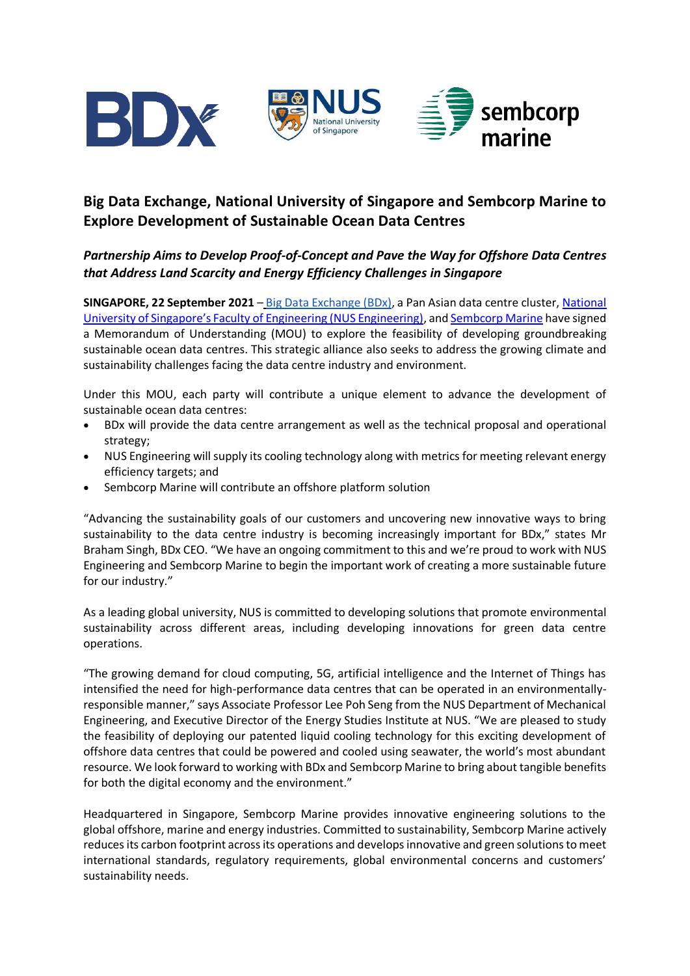

# **Big Data Exchange, National University of Singapore and Sembcorp Marine to Explore Development of Sustainable Ocean Data Centres**

## *Partnership Aims to Develop Proof-of-Concept and Pave the Way for Offshore Data Centres that Address Land Scarcity and Energy Efficiency Challenges in Singapore*

**SINGAPORE, 22 September 2021** – [Big Data Exchange \(BDx\),](https://www.bdxworld.com/) a Pan Asian data centre cluster, [National](https://www.eng.nus.edu.sg/)  [University of Singapore's Faculty of Engineering \(NUS Engineering\)](https://www.eng.nus.edu.sg/), an[d Sembcorp Marine](http://www.sembmarine.com/) have signed a Memorandum of Understanding (MOU) to explore the feasibility of developing groundbreaking sustainable ocean data centres. This strategic alliance also seeks to address the growing climate and sustainability challenges facing the data centre industry and environment.

Under this MOU, each party will contribute a unique element to advance the development of sustainable ocean data centres:

- BDx will provide the data centre arrangement as well as the technical proposal and operational strategy;
- NUS Engineering will supply its cooling technology along with metrics for meeting relevant energy efficiency targets; and
- Sembcorp Marine will contribute an offshore platform solution

"Advancing the sustainability goals of our customers and uncovering new innovative ways to bring sustainability to the data centre industry is becoming increasingly important for BDx," states Mr Braham Singh, BDx CEO. "We have an ongoing commitment to this and we're proud to work with NUS Engineering and Sembcorp Marine to begin the important work of creating a more sustainable future for our industry."

As a leading global university, NUS is committed to developing solutions that promote environmental sustainability across different areas, including developing innovations for green data centre operations.

"The growing demand for cloud computing, 5G, artificial intelligence and the Internet of Things has intensified the need for high-performance data centres that can be operated in an environmentallyresponsible manner," says Associate Professor Lee Poh Seng from the NUS Department of Mechanical Engineering, and Executive Director of the Energy Studies Institute at NUS. "We are pleased to study the feasibility of deploying our patented liquid cooling technology for this exciting development of offshore data centres that could be powered and cooled using seawater, the world's most abundant resource. We look forward to working with BDx and Sembcorp Marine to bring about tangible benefits for both the digital economy and the environment."

Headquartered in Singapore, Sembcorp Marine provides innovative engineering solutions to the global offshore, marine and energy industries. Committed to sustainability, Sembcorp Marine actively reduces its carbon footprint across its operations and develops innovative and green solutions to meet international standards, regulatory requirements, global environmental concerns and customers' sustainability needs.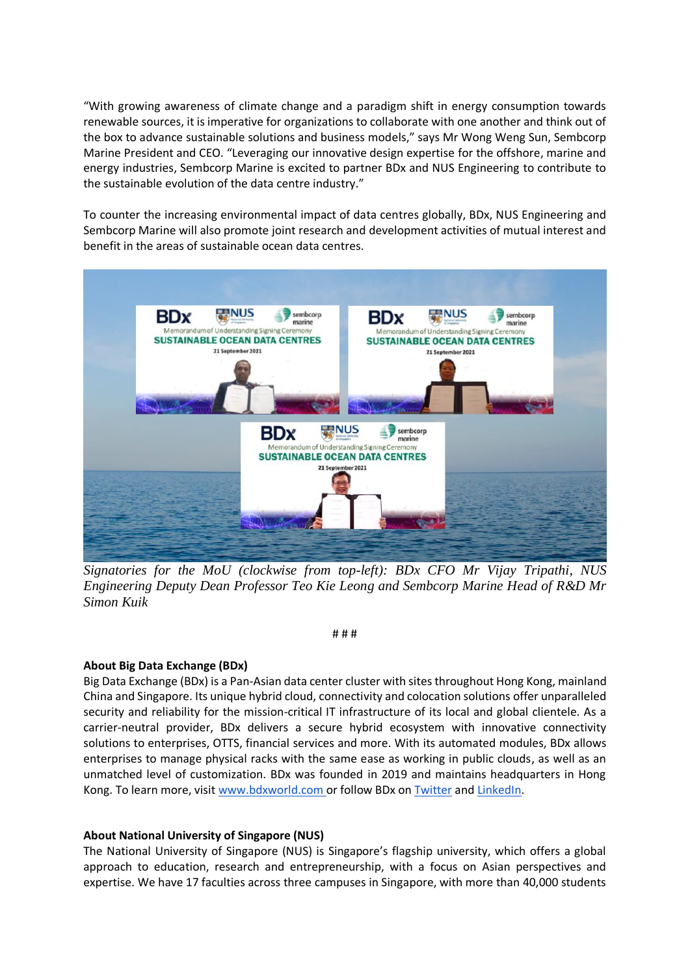"With growing awareness of climate change and a paradigm shift in energy consumption towards renewable sources, it is imperative for organizations to collaborate with one another and think out of the box to advance sustainable solutions and business models," says Mr Wong Weng Sun, Sembcorp Marine President and CEO. "Leveraging our innovative design expertise for the offshore, marine and energy industries, Sembcorp Marine is excited to partner BDx and NUS Engineering to contribute to the sustainable evolution of the data centre industry."

To counter the increasing environmental impact of data centres globally, BDx, NUS Engineering and Sembcorp Marine will also promote joint research and development activities of mutual interest and benefit in the areas of sustainable ocean data centres.



*Signatories for the MoU (clockwise from top-left): BDx CFO Mr Vijay Tripathi, NUS Engineering Deputy Dean Professor Teo Kie Leong and Sembcorp Marine Head of R&D Mr Simon Kuik*

# # #

### **About Big Data Exchange (BDx)**

Big Data Exchange (BDx) is a Pan-Asian data center cluster with sites throughout Hong Kong, mainland China and Singapore. Its unique hybrid cloud, connectivity and colocation solutions offer unparalleled security and reliability for the mission-critical IT infrastructure of its local and global clientele. As a carrier-neutral provider, BDx delivers a secure hybrid ecosystem with innovative connectivity solutions to enterprises, OTTS, financial services and more. With its automated modules, BDx allows enterprises to manage physical racks with the same ease as working in public clouds, as well as an unmatched level of customization. BDx was founded in 2019 and maintains headquarters in Hong Kong. To learn more, visi[t www.bdxworld.com o](http://www.bdxworld.com/)r follow BDx on [Twitter](https://twitter.com/bdxworld) and [LinkedIn.](https://www.linkedin.com/company/bdx-data-centers/)

#### **About National University of Singapore (NUS)**

The National University of Singapore (NUS) is Singapore's flagship university, which offers a global approach to education, research and entrepreneurship, with a focus on Asian perspectives and expertise. We have 17 faculties across three campuses in Singapore, with more than 40,000 students